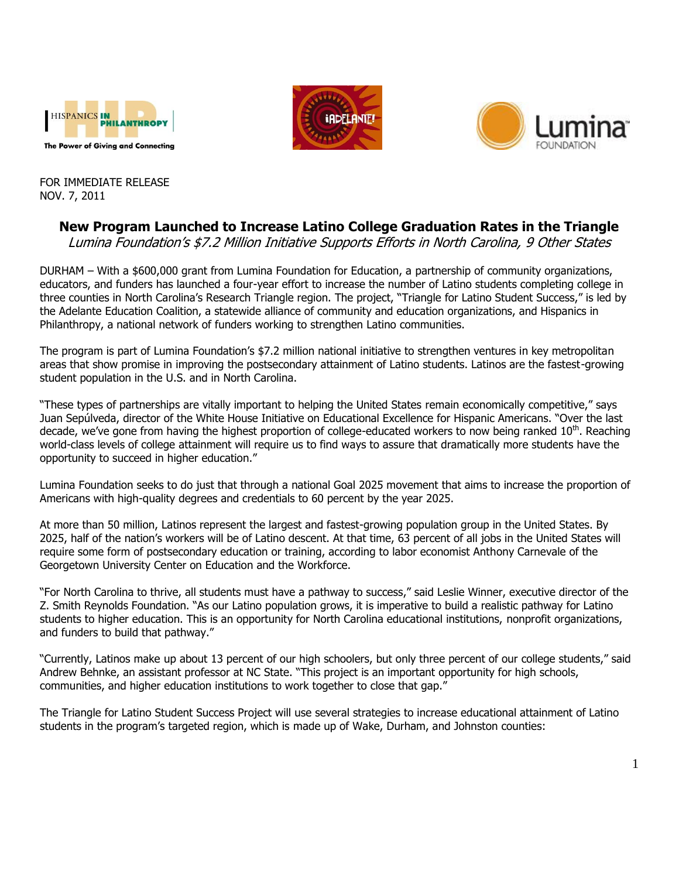





FOR IMMEDIATE RELEASE NOV. 7, 2011

## **New Program Launched to Increase Latino College Graduation Rates in the Triangle**

Lumina Foundation's \$7.2 Million Initiative Supports Efforts in North Carolina, 9 Other States

DURHAM – With a \$600,000 grant from Lumina Foundation for Education, a partnership of community organizations, educators, and funders has launched a four-year effort to increase the number of Latino students completing college in three counties in North Carolina's Research Triangle region. The project, "Triangle for Latino Student Success," is led by the Adelante Education Coalition, a statewide alliance of community and education organizations, and Hispanics in Philanthropy, a national network of funders working to strengthen Latino communities.

The program is part of Lumina Foundation's \$7.2 million national initiative to strengthen ventures in key metropolitan areas that show promise in improving the postsecondary attainment of Latino students. Latinos are the fastest-growing student population in the U.S. and in North Carolina.

"These types of partnerships are vitally important to helping the United States remain economically competitive," says Juan Sepúlveda, director of the White House Initiative on Educational Excellence for Hispanic Americans. "Over the last decade, we've gone from having the highest proportion of college-educated workers to now being ranked  $10^{th}$ . Reaching world-class levels of college attainment will require us to find ways to assure that dramatically more students have the opportunity to succeed in higher education."

Lumina Foundation seeks to do just that through a national Goal 2025 movement that aims to increase the proportion of Americans with high-quality degrees and credentials to 60 percent by the year 2025.

At more than 50 million, Latinos represent the largest and fastest-growing population group in the United States. By 2025, half of the nation's workers will be of Latino descent. At that time, 63 percent of all jobs in the United States will require some form of postsecondary education or training, according to labor economist Anthony Carnevale of the Georgetown University Center on Education and the Workforce.

"For North Carolina to thrive, all students must have a pathway to success," said Leslie Winner, executive director of the Z. Smith Reynolds Foundation. "As our Latino population grows, it is imperative to build a realistic pathway for Latino students to higher education. This is an opportunity for North Carolina educational institutions, nonprofit organizations, and funders to build that pathway."

"Currently, Latinos make up about 13 percent of our high schoolers, but only three percent of our college students," said Andrew Behnke, an assistant professor at NC State. "This project is an important opportunity for high schools, communities, and higher education institutions to work together to close that gap."

The Triangle for Latino Student Success Project will use several strategies to increase educational attainment of Latino students in the program's targeted region, which is made up of Wake, Durham, and Johnston counties: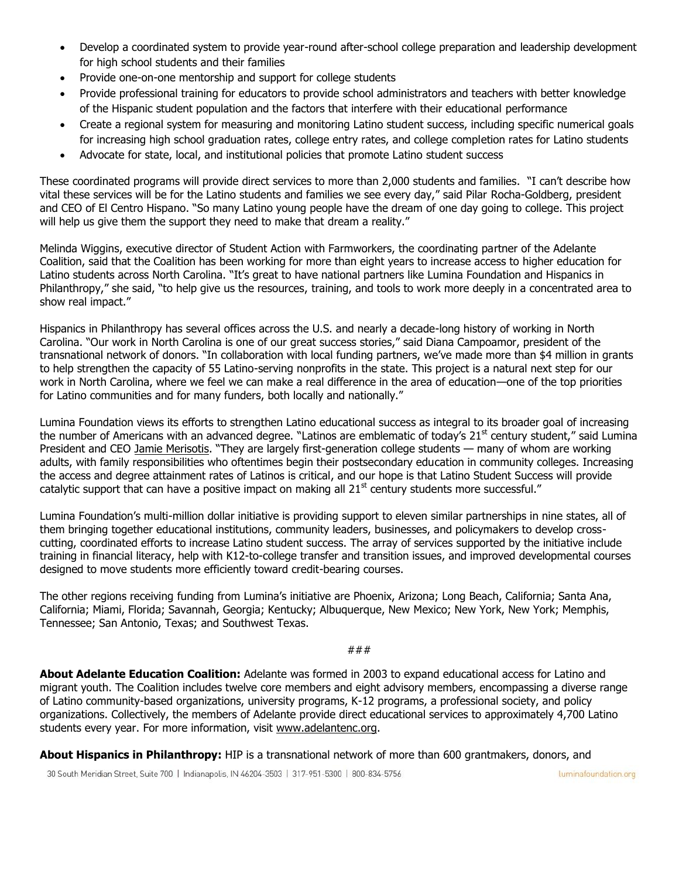- Develop a coordinated system to provide year-round after-school college preparation and leadership development for high school students and their families
- Provide one-on-one mentorship and support for college students
- Provide professional training for educators to provide school administrators and teachers with better knowledge of the Hispanic student population and the factors that interfere with their educational performance
- Create a regional system for measuring and monitoring Latino student success, including specific numerical goals for increasing high school graduation rates, college entry rates, and college completion rates for Latino students
- Advocate for state, local, and institutional policies that promote Latino student success

These coordinated programs will provide direct services to more than 2,000 students and families. "I can't describe how vital these services will be for the Latino students and families we see every day," said Pilar Rocha-Goldberg, president and CEO of El Centro Hispano. "So many Latino young people have the dream of one day going to college. This project will help us give them the support they need to make that dream a reality."

Melinda Wiggins, executive director of Student Action with Farmworkers, the coordinating partner of the Adelante Coalition, said that the Coalition has been working for more than eight years to increase access to higher education for Latino students across North Carolina. "It's great to have national partners like Lumina Foundation and Hispanics in Philanthropy," she said, "to help give us the resources, training, and tools to work more deeply in a concentrated area to show real impact."

Hispanics in Philanthropy has several offices across the U.S. and nearly a decade-long history of working in North Carolina. "Our work in North Carolina is one of our great success stories," said Diana Campoamor, president of the transnational network of donors. "In collaboration with local funding partners, we've made more than \$4 million in grants to help strengthen the capacity of 55 Latino-serving nonprofits in the state. This project is a natural next step for our work in North Carolina, where we feel we can make a real difference in the area of education—one of the top priorities for Latino communities and for many funders, both locally and nationally."

Lumina Foundation views its efforts to strengthen Latino educational success as integral to its broader goal of increasing the number of Americans with an advanced degree. "Latinos are emblematic of today's 21<sup>st</sup> century student," said Lumina President and CEO [Jamie Merisotis](http://www.luminafoundation.org/about_us/president/full_biography.html). "They are largely first-generation college students — many of whom are working adults, with family responsibilities who oftentimes begin their postsecondary education in community colleges. Increasing the access and degree attainment rates of Latinos is critical, and our hope is that Latino Student Success will provide catalytic support that can have a positive impact on making all 21<sup>st</sup> century students more successful."

Lumina Foundation's multi-million dollar initiative is providing support to eleven similar partnerships in nine states, all of them bringing together educational institutions, community leaders, businesses, and policymakers to develop crosscutting, coordinated efforts to increase Latino student success. The array of services supported by the initiative include training in financial literacy, help with K12-to-college transfer and transition issues, and improved developmental courses designed to move students more efficiently toward credit-bearing courses.

The other regions receiving funding from Lumina's initiative are Phoenix, Arizona; Long Beach, California; Santa Ana, California; Miami, Florida; Savannah, Georgia; Kentucky; Albuquerque, New Mexico; New York, New York; Memphis, Tennessee; San Antonio, Texas; and Southwest Texas.

###

**About Adelante Education Coalition:** Adelante was formed in 2003 to expand educational access for Latino and migrant youth. The Coalition includes twelve core members and eight advisory members, encompassing a diverse range of Latino community-based organizations, university programs, K-12 programs, a professional society, and policy organizations. Collectively, the members of Adelante provide direct educational services to approximately 4,700 Latino students every year. For more information, visit [www.adelantenc.org.](http://www.adelantenc.org/)

**About Hispanics in Philanthropy:** HIP is a transnational network of more than 600 grantmakers, donors, and

30 South Meridian Street, Suite 700 | Indianapolis, IN 46204-3503 | 317-951-5300 | 800-834-5756

luminafoundation.org